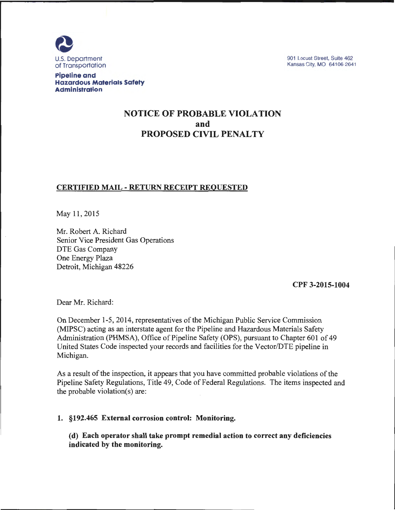

901 Locust Street, Suite 462 Kansas City, MO 64106-2641

**Pipeline and Hazardous Materials Safety Administration** 

# **NOTICE OF PROBABLE VIOLATION and PROPOSED CIVIL PENALTY**

# **CERTIFIED MAIL -RETURN RECEIPT REQUESTED**

May 11, 2015

Mr. Robert A. Richard Senior Vice President Gas Operations DTE Gas Company One Energy Plaza Detroit, Michigan 48226

**CPF 3-2015-1004** 

Dear Mr. Richard:

On December 1-5, 2014, representatives of the Michigan Public Service Commission (MIPSC) acting as an interstate agent for the Pipeline and Hazardous Materials Safety Administration (PHMSA), Office of Pipeline Safety (OPS), pursuant to Chapter 601 of 49 United States Code inspected your records and facilities for the Vector/DTE pipeline in Michigan.

As a result of the inspection, it appears that you have committed probable violations of the Pipeline Safety Regulations, Title 49, Code of Federal Regulations. The items inspected and the probable violation(s) are:

### **1. §192.465 External corrosion control: Monitoring.**

**(d) Each operator shall take prompt remedial action to correct any deficiencies indicated by the monitoring.**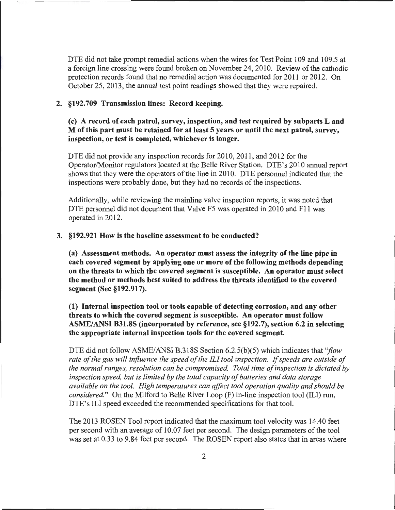DTE did not take prompt remedial actions when the wires for Test Point 109 and 109.5 at a foreign line crossing were found broken on November 24, 2010. Review of the cathodic protection records found that no remedial action was documented for 2011 or 2012. On October 25, 2013, the annual test point readings showed that they were repaired.

#### 2. §192.709 Transmission lines: Record keeping.

### (c) A record of each patrol, survey, inspection, and test required by subparts Land M of this part must be retained for at least 5 years or until the next patrol, survey, inspection, or test is completed, whichever is longer.

DTE did not provide any inspection records for 2010, 2011, and 2012 for the Operator/Monitor regulators located at the Belle River Station. DTE's 2010 annual report shows that they were the operators of the line in 2010. DTE personnel indicated that the inspections were probably done, but they had no records of the inspections.

Additionally, while reviewing the mainline valve inspection reports, it was noted that DTE personnel did not document that Valve F5 was operated in 2010 and F11 was operated in 2012.

#### 3. §192.921 How is the baseline assessment to be conducted?

(a) Assessment methods. An operator must assess the integrity of the line pipe in each covered segment by applying one or more of the following methods depending on the threats to which the covered segment is susceptible. An operator must select the method or methods best suited to address the threats identified to the covered segment (See §192.917).

(1) Internal inspection tool or tools capable of detecting corrosion, and any other threats to which the covered segment is susceptible. An operator must follow ASME/ANSI B31.8S (incorporated by reference, see §192.7), section 6.2 in selecting the appropriate internal inspection tools for the covered segment.

DTE did not follow ASME/ANSI B.318S Section 6.2.5(b)(5) which indicates that *''flow rate of the gas will influence the speed of the* ILl *tool inspection.* If *speeds are outside of the normal ranges, resolution can be compromised. Total time of inspection is dictated by inspection speed, but is limited by the total capacity of batteries and data storage available on the tool. High temperatures can affect tool operation quality and should be considered. "* On the Milford to Belle River Loop (F) in-line inspection tool (ILl) run, DTE's ILI speed exceeded the recommended specifications for that tool.

The 2013 ROSEN Tool report indicated that the maximum tool velocity was 14.40 feet per second with an average of 10.07 feet per second. The design parameters of the tool was set at 0.33 to 9.84 feet per second. The ROSEN report also states that in areas where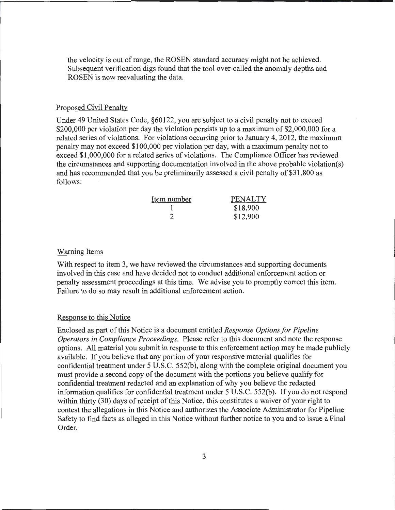the velocity is out of range, the ROSEN standard accuracy might not be achieved. Subsequent verification digs found that the tool over-called the anomaly depths and ROSEN is now reevaluating the data.

#### Proposed Civil Penalty

Under 49 United States Code, §60122, you are subject to a civil penalty not to exceed \$200,000 per violation per day the violation persists up to a maximum of \$2,000,000 for a related series of violations. For violations occurring prior to January 4, 2012, the maximum penalty may not exceed \$100,000 per violation per day, with a maximum penalty not to exceed \$1,000,000 for a related series of violations. The Compliance Officer has reviewed the circumstances and supporting documentation involved in the above probable violation(s) and has recommended that you be preliminarily assessed a civil penalty of \$31 ,800 as follows:

| Item number | PENALTY  |
|-------------|----------|
|             | \$18,900 |
|             | \$12,900 |

#### Warning Items

With respect to item 3, we have reviewed the circumstances and supporting documents involved in this case and have decided not to conduct additional enforcement action or penalty assessment proceedings at this time. We advise you to promptly correct this item. Failure to do so may result in additional enforcement action.

#### Response to this Notice

Enclosed as part of this Notice is a document entitled *Response Options for Pipeline Operators in Compliance Proceedings.* Please refer to this document and note the response options. All material you submit in response to this enforcement action may be made publicly available. If you believe that any portion of your responsive material qualifies for confidential treatment under 5 U.S.C. 552(b), along with the complete original document you must provide a second copy of the document with the portions you believe qualify for confidential treatment redacted and an explanation of why you believe the redacted information qualifies for confidential treatment under 5 U.S.C. 552(b). If you do not respond within thirty (30) days of receipt of this Notice, this constitutes a waiver of your right to contest the allegations in this Notice and authorizes the Associate Administrator for Pipeline Safety to find facts as alleged in this Notice without further notice to you and to issue a Final Order.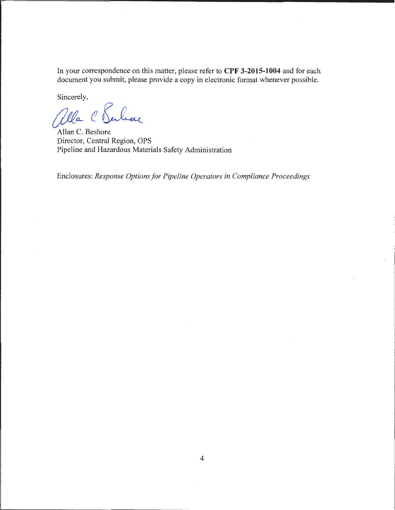In your correspondence on this matter, please refer to **CPF 3-2015-1004** and for each document you submit, please provide a copy in electronic format whenever possible.

Sincerely,

alla C Serban

Allan C. Beshore Director, Central Region, OPS Pipeline and Hazardous Materials Safety Administration

Enclosures: *Response Options for Pipeline Operators in Compliance Proceedings*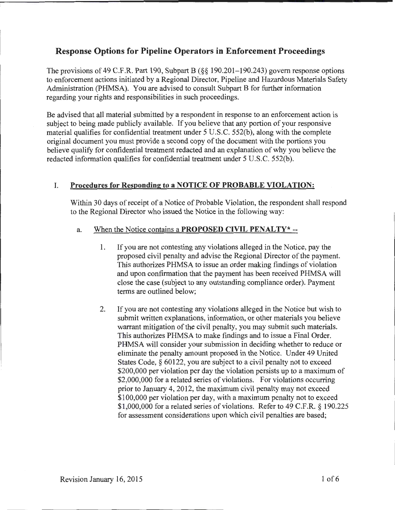# **Response Options for Pipeline Operators in Enforcement Proceedings**

The provisions of 49 C.F.R. Part 190, Subpart B (§§ 190.201-190.243) govern response options to enforcement actions initiated by a Regional Director, Pipeline and Hazardous Materials Safety Administration (PHMSA). You are advised to consult Subpart B for further information regarding your rights and responsibilities in such proceedings.

Be advised that all material submitted by a respondent in response to an enforcement action is subject to being made publicly available. If you believe that any portion of your responsive material qualifies for confidential treatment under 5 U.S.C. 552(b), along with the complete original document you must provide a second copy of the document with the portions you believe qualify for confidential treatment redacted and an explanation of why you believe the redacted information qualifies for confidential treatment under 5 U.S.C. 552(b).

# I. **Procedures for Responding to a NOTICE OF PROBABLE VIOLATION:**

Within 30 days of receipt of a Notice of Probable Violation, the respondent shall respond to the Regional Director who issued the Notice in the following way:

# a. When the Notice contains a **PROPOSED CIVIL PENALTY\*** --

- 1. If you are not contesting any violations alleged in the Notice, pay the proposed civil penalty and advise the Regional Director of the payment. This authorizes PHMSA to issue an order making findings of violation and upon confirmation that the payment has been received PHMSA will close the case (subject to any outstanding compliance order). Payment terms are outlined below;
- 2. If you are not contesting any violations alleged in the Notice but wish to submit written explanations, information, or other materials you believe warrant mitigation of the civil penalty, you may submit such materials. This authorizes PHMSA to make findings and to issue a Final Order. PHMSA will consider your submission in deciding whether to reduce or eliminate the penalty amount proposed in the Notice. Under 49 United States Code, § 60122, you are subject to a civil penalty not to exceed \$200,000 per violation per day the violation persists up to a maximum of \$2,000,000 for a related series of violations. For violations occurring prior to January 4, 2012, the maximum civil penalty may not exceed \$100,000 per violation per day, with a maximum penalty not to exceed \$1,000,000 for a related series of violations. Refer to 49 C.F.R. § 190.225 for assessment considerations upon which civil penalties are based;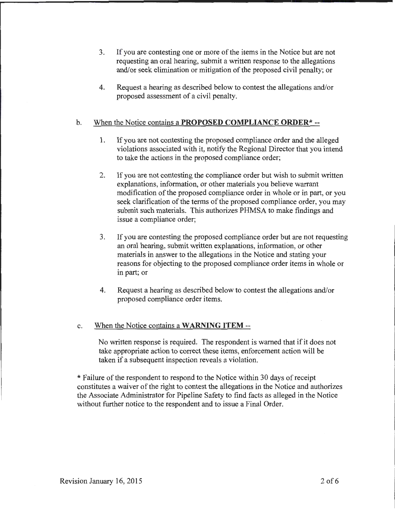- 3. If you are contesting one or more of the items in the Notice but are not requesting an oral hearing, submit a written response to the allegations and/or seek elimination or mitigation of the proposed civil penalty; or
- 4. Request a hearing as described below to contest the allegations and/or proposed assessment of a civil penalty.

### b. When the Notice contains a **PROPOSED COMPLIANCE ORDER\*** --

- 1. If you are not contesting the proposed compliance order and the alleged violations associated with it, notify the Regional Director that you intend to take the actions in the proposed compliance order;
- 2. If you are not contesting the compliance order but wish to submit written explanations, information, or other materials you believe warrant modification of the proposed compliance order in whole or in part, or you seek clarification of the terms of the proposed compliance order, you may submit such materials. This authorizes PHMSA to make findings and issue a compliance order;
- 3. If you are contesting the proposed compliance order but are not requesting an oral hearing, submit written explanations, information, or other materials in answer to the allegations in the Notice and stating your reasons for objecting to the proposed compliance order items in whole or in part; or
- 4. Request a hearing as described below to contest the allegations and/or proposed compliance order items.

#### c. When the Notice contains a **WARNING ITEM** --

No written response is required. The respondent is warned that if it does not take appropriate action to correct these items, enforcement action will be taken if a subsequent inspection reveals a violation.

\* Failure of the respondent to respond to the Notice within 30 days of receipt constitutes a waiver of the right to contest the allegations in the Notice and authorizes the Associate Administrator for Pipeline Safety to find facts as alleged in the Notice without further notice to the respondent and to issue a Final Order.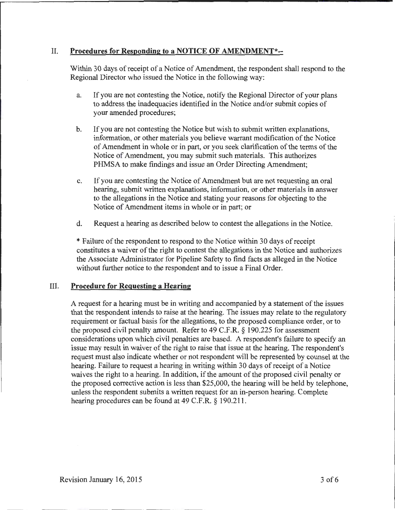## II. **Procedures for Responding to a NOTICE OF AMENDMENT\*--**

Within 30 days of receipt of a Notice of Amendment, the respondent shall respond to the Regional Director who issued the Notice in the following way:

- a. If you are not contesting the Notice, notify the Regional Director of your plans to address the inadequacies identified in the Notice and/or submit copies of your amended procedures;
- b. If you are not contesting the Notice but wish to submit written explanations, information, or other materials you believe warrant modification of the Notice of Amendment in whole or in part, or you seek clarification of the terms of the Notice of Amendment, you may submit such materials. This authorizes PHMSA to make findings and issue an Order Directing Amendment;
- c. If you are contesting the Notice of Amendment but are not requesting an oral hearing, submit written explanations, information, or other materials in answer to the allegations in the Notice and stating your reasons for objecting to the Notice of Amendment items in whole or in part; or
- d. Request a hearing as described below to contest the allegations in the Notice.

\*Failure of the respondent to respond to the Notice within 30 days of receipt constitutes a waiver of the right to contest the allegations in the Notice and authorizes the Associate Administrator for Pipeline Safety to find facts as alleged in the Notice without further notice to the respondent and to issue a Final Order.

### III. **Procedure for Requesting a Hearing**

A request for a hearing must be in writing and accompanied by a statement of the issues that the respondent intends to raise at the hearing. The issues may relate to the regulatory requirement or factual basis for the allegations, to the proposed compliance order, or to the proposed civil penalty amount. Refer to 49 C.F.R. § 190.225 for assessment considerations upon which civil penalties are based. A respondent's failure to specify an issue may result in waiver of the right to raise that issue at the hearing. The respondent's request must also indicate whether or not respondent will be represented by counsel at the hearing. Failure to request a hearing in writing within 30 days of receipt of a Notice waives the right to a hearing. In addition, if the amount of the proposed civil penalty or the proposed corrective action is less than \$25,000, the hearing will be held by telephone, unless the respondent submits a written request for an in-person hearing. Complete hearing procedures can be found at 49 C.F.R. § 190.211.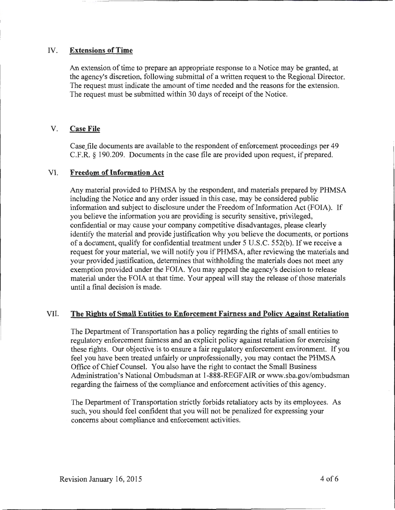### IV. Extensions of Time

An extension of time to prepare an appropriate response to a Notice may be granted, at the agency's discretion, following submittal of a written request to the Regional Director. The request must indicate the amount of time needed and the reasons for the extension. The request must be submitted within 30 days of receipt of the Notice.

## V. Case File

Case file documents are available to the respondent of enforcement proceedings per 49 C.F.R. § 190.209. Documents in the case file are provided upon request, if prepared.

### VI. Freedom of Information Act

Any material provided to PHMSA by the respondent, and materials prepared by PHMSA including the Notice and any order issued in this case, may be considered public information and subject to disclosure under the Freedom of Information Act (FOIA). If you believe the information you are providing is security sensitive, privileged, confidential or may cause your company competitive disadvantages, please clearly identify the material and provide justification why you believe the documents, or portions of a document, qualify for confidential treatment under 5 U.S.C. 552(b ). If we receive a request for your material, we will notify you if PHMSA, after reviewing the materials and your provided justification, determines that withholding the materials does not meet any exemption provided under the FOIA. You may appeal the agency's decision to release material under the FOIA at that time. Your appeal will stay the release of those materials until a final decision is made.

# VII. The Rights of Small Extities to Enforcement Fairness and Policy Against Retaliation

The Department of Transportation has a policy regarding the rights of small entities to regulatory enforcement fairness and an explicit policy against retaliation for exercising these rights. Our objective is to ensure a fair regulatory enforcement environment. If you feel you have been treated unfairly or unprofessionally, you may contact the PHMSA Office of Chief Counsel. You also have the right to contact the Small Business Administration's National Ombudsman at 1-888-REGFAIR or www.sba.gov/ombudsman regarding the fairness of the compliance and enforcement activities of this agency.

The Department of Transportation strictly forbids retaliatory acts by its employees. As such, you should feel confident that you will not be penalized for expressing your concerns about compliance and enforcement activities.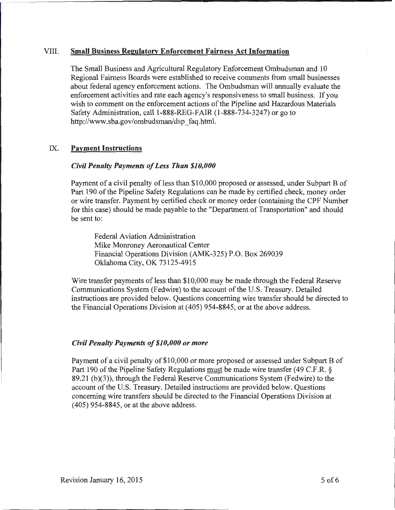#### VIII. Small Business Regulatory Enforcement Fairness Act Information

The Small Business and Agricultural Regulatory Enforcement Ombudsman and 10 Regional Fairness Boards were established to receive comments from small businesses about federal agency enforcement actions. The Ombudsman will annually evaluate the enforcement activities and rate each agency's responsiveness to small business. If you wish to comment on the enforcement actions of the Pipeline and Hazardous Materials Safety Administration, call 1-888-REG-FAIR (1-888-734-3247) or go to http://www.sba.gov/ombudsman/dsp\_faq.html.

#### IX. Payment Instructions

#### *Civil Penalty Payments of Less Than \$10,000*

Payment of a civil penalty of less than \$10,000 proposed or assessed, under Subpart B of Part 190 of the Pipeline Safety Regulations can be made by certified check, money order or wire transfer. Payment by certified check or money order (containing the CPF Number for this case) should be made payable to the "Department of Transportation" and should be sent to:

Federal Aviation Administration Mike Monroney Aeronautical Center Financial Operations Division (AMK-325) P.O. Box 269039 Oklahoma City, OK 73125-4915

Wire transfer payments of less than \$10,000 may be made through the Federal Reserve Communications System (Fedwire) to the account of the U.S. Treasury. Detailed instructions are provided below. Questions concerning wire transfer should be directed to the Financial Operations Division at ( 405) 954-8845; or at the above address.

#### *Civil Penalty Payments of \$10,000 or more*

Payment of a civil penalty of \$10,000 or more proposed or assessed under Subpart B of Part 190 of the Pipeline Safety Regulations must be made wire transfer (49 C.F.R. § 89.21 (b)(3)), through the Federal Reserve Communications System (Fedwire) to the account of the U.S. Treasury. Detailed instructions are provided below. Questions concerning wire transfers should be directed to the Financial Operations Division at ( 405) 954-8845, or at the above address.